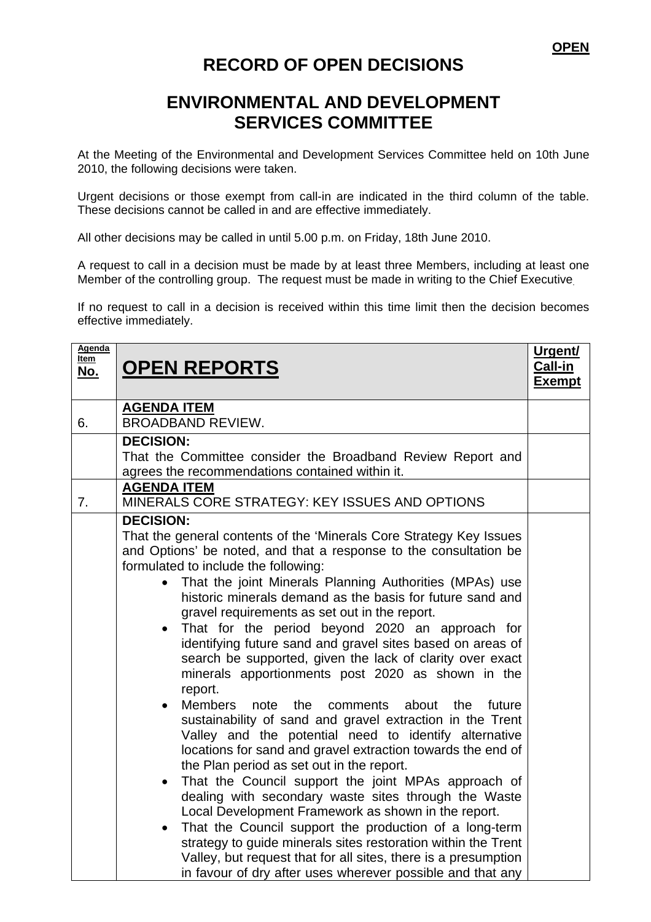## **RECORD OF OPEN DECISIONS**

## **ENVIRONMENTAL AND DEVELOPMENT SERVICES COMMITTEE**

At the Meeting of the Environmental and Development Services Committee held on 10th June 2010, the following decisions were taken.

Urgent decisions or those exempt from call-in are indicated in the third column of the table. These decisions cannot be called in and are effective immediately.

All other decisions may be called in until 5.00 p.m. on Friday, 18th June 2010.

A request to call in a decision must be made by at least three Members, including at least one Member of the controlling group. The request must be made in writing to the Chief Executive.

If no request to call in a decision is received within this time limit then the decision becomes effective immediately.

| Agenda<br><u>Item</u><br>No. | <b>OPEN REPORTS</b>                                                                                                                                                                                                                                                                                                                                                                                                                                                                                                                                                                                                                                                                                                                                                                                                                                                                                                                                                                                                                                                                                                                                                                                                                                                                                                                                                                                          | Urgent/<br>Call-in<br><b>Exempt</b> |
|------------------------------|--------------------------------------------------------------------------------------------------------------------------------------------------------------------------------------------------------------------------------------------------------------------------------------------------------------------------------------------------------------------------------------------------------------------------------------------------------------------------------------------------------------------------------------------------------------------------------------------------------------------------------------------------------------------------------------------------------------------------------------------------------------------------------------------------------------------------------------------------------------------------------------------------------------------------------------------------------------------------------------------------------------------------------------------------------------------------------------------------------------------------------------------------------------------------------------------------------------------------------------------------------------------------------------------------------------------------------------------------------------------------------------------------------------|-------------------------------------|
| 6.                           | <b>AGENDA ITEM</b><br><b>BROADBAND REVIEW.</b>                                                                                                                                                                                                                                                                                                                                                                                                                                                                                                                                                                                                                                                                                                                                                                                                                                                                                                                                                                                                                                                                                                                                                                                                                                                                                                                                                               |                                     |
|                              | <b>DECISION:</b><br>That the Committee consider the Broadband Review Report and<br>agrees the recommendations contained within it.                                                                                                                                                                                                                                                                                                                                                                                                                                                                                                                                                                                                                                                                                                                                                                                                                                                                                                                                                                                                                                                                                                                                                                                                                                                                           |                                     |
| 7 <sub>1</sub>               | <b>AGENDA ITEM</b><br>MINERALS CORE STRATEGY: KEY ISSUES AND OPTIONS                                                                                                                                                                                                                                                                                                                                                                                                                                                                                                                                                                                                                                                                                                                                                                                                                                                                                                                                                                                                                                                                                                                                                                                                                                                                                                                                         |                                     |
|                              | <b>DECISION:</b><br>That the general contents of the 'Minerals Core Strategy Key Issues<br>and Options' be noted, and that a response to the consultation be<br>formulated to include the following:<br>That the joint Minerals Planning Authorities (MPAs) use<br>historic minerals demand as the basis for future sand and<br>gravel requirements as set out in the report.<br>That for the period beyond 2020 an approach for<br>identifying future sand and gravel sites based on areas of<br>search be supported, given the lack of clarity over exact<br>minerals apportionments post 2020 as shown in the<br>report.<br><b>Members</b><br>the<br>about<br>the<br>note<br>comments<br>future<br>$\bullet$<br>sustainability of sand and gravel extraction in the Trent<br>Valley and the potential need to identify alternative<br>locations for sand and gravel extraction towards the end of<br>the Plan period as set out in the report.<br>That the Council support the joint MPAs approach of<br>$\bullet$<br>dealing with secondary waste sites through the Waste<br>Local Development Framework as shown in the report.<br>That the Council support the production of a long-term<br>$\bullet$<br>strategy to guide minerals sites restoration within the Trent<br>Valley, but request that for all sites, there is a presumption<br>in favour of dry after uses wherever possible and that any |                                     |